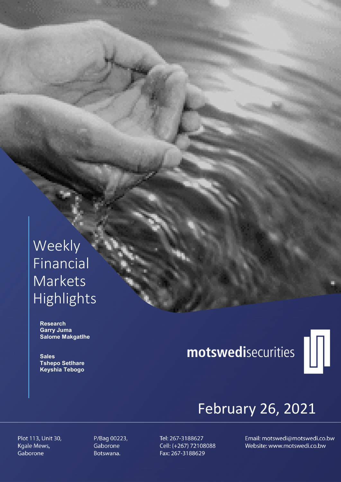# Weekly Financial Markets Highlights

 Research Garry Juma Salome Makgatlhe

**Sales**  Tshepo Setlhare Keyshia Tebogo

# motswedisecurities



# February 26, 2021

Plot 113, Unit 30, Kgale Mews, Gaborone

P/Bag 00223, Gaborone Botswana.

Tel: 267-3188627 Cell: (+267) 72108088 Fax: 267-3188629

Email: motswedi@motswedi.co.bw Website: www.motswedi.co.bw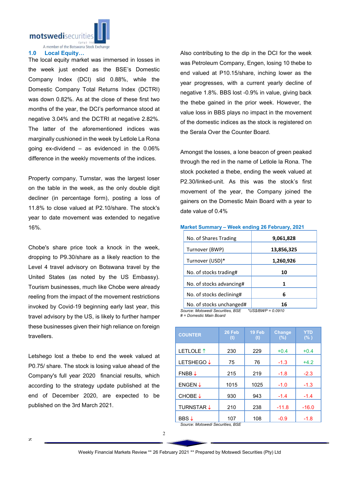motswedisecuritie  $(01V)$ 

A member of the Botswana Stock Exchange

#### 1.0 Local Equity…

The local equity market was immersed in losses in the week just ended as the BSE's Domestic Company Index (DCI) slid 0.88%, while the Domestic Company Total Returns Index (DCTRI) was down 0.82%. As at the close of these first two months of the year, the DCI's performance stood at negative 3.04% and the DCTRI at negative 2.82%. The latter of the aforementioned indices was marginally cushioned in the week by Letlole La Rona going ex-dividend – as evidenced in the 0.06% difference in the weekly movements of the indices.

Property company, Turnstar, was the largest loser on the table in the week, as the only double digit decliner (in percentage form), posting a loss of 11.8% to close valued at P2.10/share. The stock's year to date movement was extended to negative 16%.

Chobe's share price took a knock in the week, dropping to P9.30/share as a likely reaction to the Level 4 travel advisory on Botswana travel by the United States (as noted by the US Embassy). Tourism businesses, much like Chobe were already reeling from the impact of the movement restrictions invoked by Covid-19 beginning early last year, this travel advisory by the US, is likely to further hamper these businesses given their high reliance on foreign **travellers** 

Letshego lost a thebe to end the week valued at P0.75/ share. The stock is losing value ahead of the Company's full year 2020 financial results, which according to the strategy update published at the end of December 2020, are expected to be published on the 3rd March 2021.

Also contributing to the dip in the DCI for the week was Petroleum Company, Engen, losing 10 thebe to end valued at P10.15/share, inching lower as the year progresses, with a current yearly decline of negative 1.8%. BBS lost -0.9% in value, giving back the thebe gained in the prior week. However, the value loss in BBS plays no impact in the movement of the domestic indices as the stock is registered on the Serala Over the Counter Board.

Amongst the losses, a lone beacon of green peaked through the red in the name of Letlole la Rona. The stock pocketed a thebe, ending the week valued at P2.30/linked-unit. As this was the stock's first movement of the year, the Company joined the gainers on the Domestic Main Board with a year to date value of 0.4%

#### Market Summary – Week ending 26 February, 2021

| No. of Shares Trading                                                                   | 9,061,828                   |
|-----------------------------------------------------------------------------------------|-----------------------------|
| Turnover (BWP)                                                                          | 13,856,325                  |
| Turnover (USD)*                                                                         | 1,260,926                   |
| No. of stocks trading#                                                                  | 10                          |
| No. of stocks advancing#                                                                | 1                           |
| No. of stocks declining#                                                                | 6                           |
| No. of stocks unchanged#<br>$S_1, S_2, S_3, \ldots, S_n, S_n, \ldots, S_n, \ldots, S_n$ | 16<br>$*HOR/BIM/D = A.0040$ |

*Source: Motswedi Securities, BSE \*US\$/BWP = 0.0910 # = Domestic Main Board*

| <b>COUNTER</b>     | 26 Feb<br>$\mathbf{f}(\mathbf{t})$ | 19 Feb<br>(t) | <b>Change</b><br>(%) | YTD<br>(% ) |
|--------------------|------------------------------------|---------------|----------------------|-------------|
| LETLOLE 1          | 230                                | 229           | $+0.4$               | $+0.4$      |
| <b>LETSHEGO↓</b>   | 75                                 | 76            | $-1.3$               | $+4.2$      |
| $FNBB \downarrow$  | 215                                | 219           | $-1.8$               | $-2.3$      |
| $ENGEN \downarrow$ | 1015                               | 1025          | $-1.0$               | $-1.3$      |
| CHOBE↓             | 930                                | 943           | $-1.4$               | $-1.4$      |
| <b>TURNSTAR J</b>  | 210                                | 238           | $-11.8$              | $-16.0$     |
| BBS↓               | 107                                | 108           | $-0.9$               | $-1.8$      |

*Source: Motswedi Securities, BSE*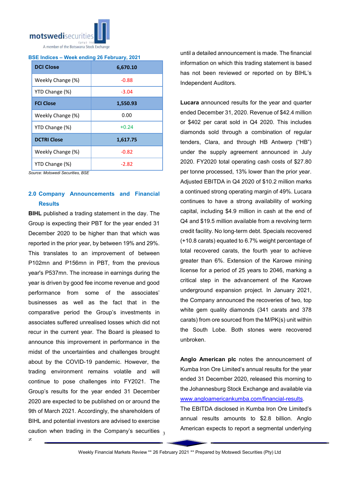

# BSE Indices – Week ending 26 February, 2021

| <b>DCI Close</b>   | 6,670.10 |  |  |
|--------------------|----------|--|--|
| Weekly Change (%)  | $-0.88$  |  |  |
| YTD Change (%)     | $-3.04$  |  |  |
| <b>FCI Close</b>   | 1,550.93 |  |  |
| Weekly Change (%)  | 0.00     |  |  |
| YTD Change (%)     | $+0.24$  |  |  |
| <b>DCTRI Close</b> | 1,617.75 |  |  |
| Weekly Change (%)  | $-0.82$  |  |  |
| YTD Change (%)     | $-2.82$  |  |  |

*Source: Motswedi Securities, BSE*

# 2.0 Company Announcements and Financial **Results**

caution when trading in the Company's securities  $_3$ BIHL published a trading statement in the day. The Group is expecting their PBT for the year ended 31 December 2020 to be higher than that which was reported in the prior year, by between 19% and 29%. This translates to an improvement of between P102mn and P156mn in PBT, from the previous year's P537mn. The increase in earnings during the year is driven by good fee income revenue and good performance from some of the associates' businesses as well as the fact that in the comparative period the Group's investments in associates suffered unrealised losses which did not recur in the current year. The Board is pleased to announce this improvement in performance in the midst of the uncertainties and challenges brought about by the COVID-19 pandemic. However, the trading environment remains volatile and will continue to pose challenges into FY2021. The Group's results for the year ended 31 December 2020 are expected to be published on or around the 9th of March 2021. Accordingly, the shareholders of BIHL and potential investors are advised to exercise

until a detailed announcement is made. The financial information on which this trading statement is based has not been reviewed or reported on by BIHL's Independent Auditors.

Lucara announced results for the year and quarter ended December 31, 2020. Revenue of \$42.4 million or \$402 per carat sold in Q4 2020. This includes diamonds sold through a combination of regular tenders, Clara, and through HB Antwerp ("HB") under the supply agreement announced in July 2020. FY2020 total operating cash costs of \$27.80 per tonne processed, 13% lower than the prior year. Adjusted EBITDA in Q4 2020 of \$10.2 million marks a continued strong operating margin of 49%. Lucara continues to have a strong availability of working capital, including \$4.9 million in cash at the end of Q4 and \$19.5 million available from a revolving term credit facility. No long-term debt. Specials recovered (+10.8 carats) equated to 6.7% weight percentage of total recovered carats, the fourth year to achieve greater than 6%. Extension of the Karowe mining license for a period of 25 years to 2046, marking a critical step in the advancement of the Karowe underground expansion project. In January 2021, the Company announced the recoveries of two, top white gem quality diamonds (341 carats and 378 carats) from ore sourced from the M/PK(s) unit within the South Lobe. Both stones were recovered unbroken.

Anglo American plc notes the announcement of Kumba Iron Ore Limited's annual results for the year ended 31 December 2020, released this morning to the Johannesburg Stock Exchange and available via www.angloamericankumba.com/financial-results.

The EBITDA disclosed in Kumba Iron Ore Limited's annual results amounts to \$2.8 billion. Anglo American expects to report a segmental underlying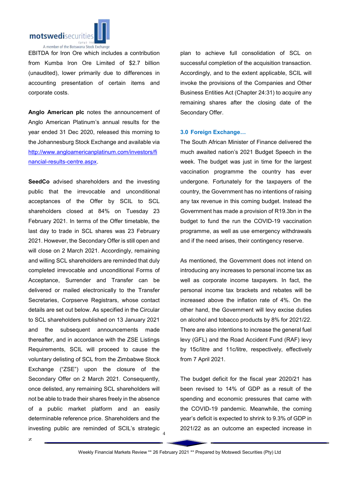

EBITDA for Iron Ore which includes a contribution from Kumba Iron Ore Limited of \$2.7 billion (unaudited), lower primarily due to differences in accounting presentation of certain items and corporate costs.

Anglo American plc notes the announcement of Anglo American Platinum's annual results for the year ended 31 Dec 2020, released this morning to the Johannesburg Stock Exchange and available via http://www.angloamericanplatinum.com/investors/fi nancial-results-centre.aspx.

SeedCo advised shareholders and the investing public that the irrevocable and unconditional acceptances of the Offer by SCIL to SCL shareholders closed at 84% on Tuesday 23 February 2021. In terms of the Offer timetable, the last day to trade in SCL shares was 23 February 2021. However, the Secondary Offer is still open and will close on 2 March 2021. Accordingly, remaining and willing SCL shareholders are reminded that duly completed irrevocable and unconditional Forms of Acceptance, Surrender and Transfer can be delivered or mailed electronically to the Transfer Secretaries, Corpserve Registrars, whose contact details are set out below. As specified in the Circular to SCL shareholders published on 13 January 2021 and the subsequent announcements made thereafter, and in accordance with the ZSE Listings Requirements, SCIL will proceed to cause the voluntary delisting of SCL from the Zimbabwe Stock Exchange ("ZSE") upon the closure of the Secondary Offer on 2 March 2021. Consequently, once delisted, any remaining SCL shareholders will not be able to trade their shares freely in the absence of a public market platform and an easily determinable reference price. Shareholders and the investing public are reminded of SCIL's strategic

plan to achieve full consolidation of SCL on successful completion of the acquisition transaction. Accordingly, and to the extent applicable, SCIL will invoke the provisions of the Companies and Other Business Entities Act (Chapter 24:31) to acquire any remaining shares after the closing date of the Secondary Offer.

# 3.0 Foreign Exchange…

The South African Minister of Finance delivered the much awaited nation's 2021 Budget Speech in the week. The budget was just in time for the largest vaccination programme the country has ever undergone. Fortunately for the taxpayers of the country, the Government has no intentions of raising any tax revenue in this coming budget. Instead the Government has made a provision of R19.3bn in the budget to fund the run the COVID-19 vaccination programme, as well as use emergency withdrawals and if the need arises, their contingency reserve.

As mentioned, the Government does not intend on introducing any increases to personal income tax as well as corporate income taxpayers. In fact, the personal income tax brackets and rebates will be increased above the inflation rate of 4%. On the other hand, the Government will levy excise duties on alcohol and tobacco products by 8% for 2021/22. There are also intentions to increase the general fuel levy (GFL) and the Road Accident Fund (RAF) levy by 15c/litre and 11c/litre, respectively, effectively from 7 April 2021.

The budget deficit for the fiscal year 2020/21 has been revised to 14% of GDP as a result of the spending and economic pressures that came with the COVID-19 pandemic. Meanwhile, the coming year's deficit is expected to shrink to 9.3% of GDP in 2021/22 as an outcome an expected increase in

4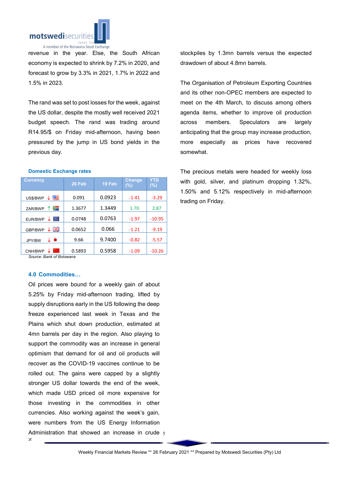

revenue in the year. Else, the South African economy is expected to shrink by 7.2% in 2020, and forecast to grow by 3.3% in 2021, 1.7% in 2022 and 1.5% in 2023.

The rand was set to post losses for the week, against the US dollar, despite the mostly well received 2021 budget speech. The rand was trading around R14.95/\$ on Friday mid-afternoon, having been pressured by the jump in US bond yields in the previous day.

## Domestic Exchange rates

| <b>Currency</b>   | 26 Feb | 19 Feb | <b>Change</b><br>(%) | YTD<br>$(\%)$ |
|-------------------|--------|--------|----------------------|---------------|
| 垩<br>US\$/BWP     | 0.091  | 0.0923 | $-1.41$              | $-3.29$       |
| ≋<br>↑<br>ZAR/BWP | 1.3677 | 1.3449 | 1.70                 | 2.87          |
| lo.<br>EUR/BWP    | 0.0748 | 0.0763 | $-1.97$              | $-10.95$      |
| 픪똟<br>GBP/BWP     | 0.0652 | 0.066  | $-1.21$              | $-9.19$       |
| JPY/BW            | 9.66   | 9.7400 | $-0.82$              | $-5.57$       |
| CNH/BWP           | 0.5893 | 0.5958 | $-1.09$              | $-10.26$      |

*Source: Bank of Botswana*

# 4.0 Commodities…

Administration that showed an increase in crude 5 Oil prices were bound for a weekly gain of about 5.25% by Friday mid-afternoon trading, lifted by supply disruptions early in the US following the deep freeze experienced last week in Texas and the Plains which shut down production, estimated at 4mn barrels per day in the region. Also playing to support the commodity was an increase in general optimism that demand for oil and oil products will recover as the COVID-19 vaccines continue to be rolled out. The gains were capped by a slightly stronger US dollar towards the end of the week, which made USD priced oil more expensive for those investing in the commodities in other currencies. Also working against the week's gain, were numbers from the US Energy Information

stockpiles by 1.3mn barrels versus the expected drawdown of about 4.8mn barrels.

The Organisation of Petroleum Exporting Countries and its other non-OPEC members are expected to meet on the 4th March, to discuss among others agenda items, whether to improve oil production across members. Speculators are largely anticipating that the group may increase production, more especially as prices have recovered somewhat.

The precious metals were headed for weekly loss with gold, silver, and platinum dropping 1.32%, 1.50% and 5.12% respectively in mid-afternoon trading on Friday.